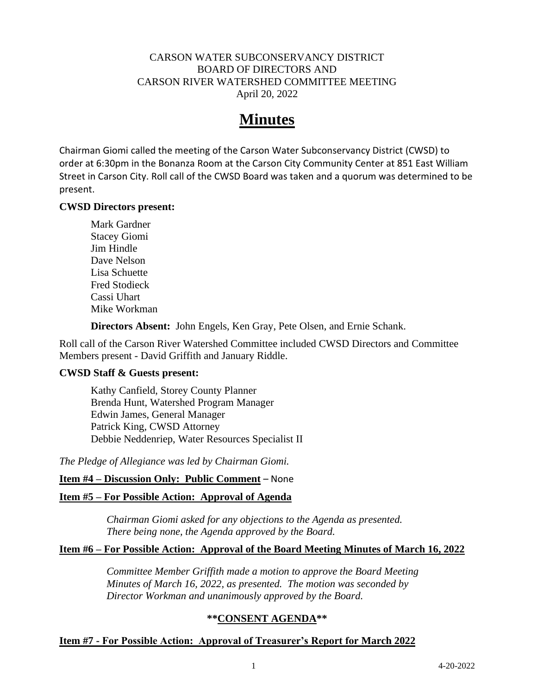# CARSON WATER SUBCONSERVANCY DISTRICT BOARD OF DIRECTORS AND CARSON RIVER WATERSHED COMMITTEE MEETING April 20, 2022

# **Minutes**

Chairman Giomi called the meeting of the Carson Water Subconservancy District (CWSD) to order at 6:30pm in the Bonanza Room at the Carson City Community Center at 851 East William Street in Carson City. Roll call of the CWSD Board was taken and a quorum was determined to be present.

## **CWSD Directors present:**

Mark Gardner Stacey Giomi Jim Hindle Dave Nelson Lisa Schuette Fred Stodieck Cassi Uhart Mike Workman

**Directors Absent:** John Engels, Ken Gray, Pete Olsen, and Ernie Schank.

Roll call of the Carson River Watershed Committee included CWSD Directors and Committee Members present - David Griffith and January Riddle.

#### **CWSD Staff & Guests present:**

Kathy Canfield, Storey County Planner Brenda Hunt, Watershed Program Manager Edwin James, General Manager Patrick King, CWSD Attorney Debbie Neddenriep, Water Resources Specialist II

*The Pledge of Allegiance was led by Chairman Giomi.*

#### **Item #4 – Discussion Only: Public Comment** – None

# **Item #5 – For Possible Action: Approval of Agenda**

*Chairman Giomi asked for any objections to the Agenda as presented. There being none, the Agenda approved by the Board.*

#### **Item #6 – For Possible Action: Approval of the Board Meeting Minutes of March 16, 2022**

*Committee Member Griffith made a motion to approve the Board Meeting Minutes of March 16, 2022, as presented. The motion was seconded by Director Workman and unanimously approved by the Board.*

# **\*\*CONSENT AGENDA\*\***

# **Item #7 - For Possible Action: Approval of Treasurer's Report for March 2022**